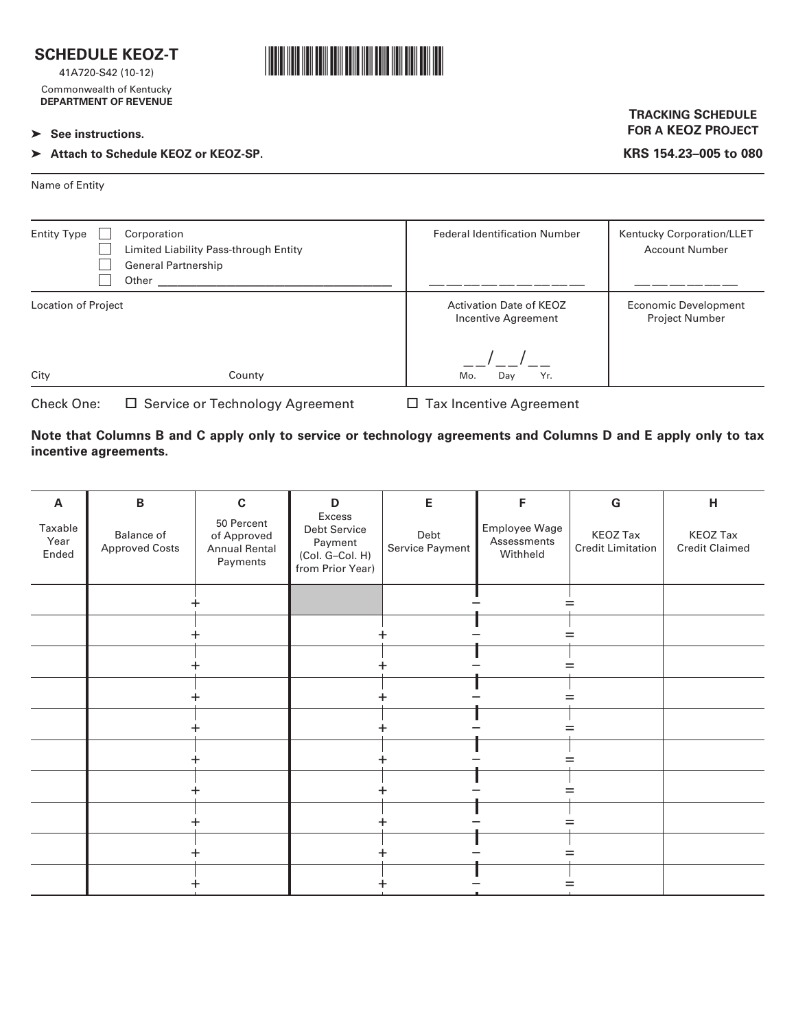

41A720-S42 (10-12) Commonwealth of Kentucky **DEPARTMENT OF REVENUE**

#### ➤ **See instructions.**

# ➤ **Attach to Schedule KEOZ or KEOZ-SP.**



## **TRACKING SCHEDULE FOR A KEOZ PROJECT**

**KRS 154.23–005 to 080**

Name of Entity

| <b>Entity Type</b><br>Corporation<br>Limited Liability Pass-through Entity<br><b>General Partnership</b><br>Other | <b>Federal Identification Number</b>                  | Kentucky Corporation/LLET<br><b>Account Number</b>   |
|-------------------------------------------------------------------------------------------------------------------|-------------------------------------------------------|------------------------------------------------------|
| Location of Project                                                                                               | <b>Activation Date of KEOZ</b><br>Incentive Agreement | <b>Economic Development</b><br><b>Project Number</b> |
| City<br>County                                                                                                    | Yr.<br>Mo.<br>Day                                     |                                                      |

| Check One: | □ Service or Technology Agreement |
|------------|-----------------------------------|
|------------|-----------------------------------|

 $\square$  Tax Incentive Agreement

**Note that Columns B and C apply only to service or technology agreements and Columns D and E apply only to tax incentive agreements.**

| A                        | $\, {\bf B}$                        | $\mathbf c$                                                   | D                                                                        | E                       | F                                        | ${\bf G}$                                   | н                                        |
|--------------------------|-------------------------------------|---------------------------------------------------------------|--------------------------------------------------------------------------|-------------------------|------------------------------------------|---------------------------------------------|------------------------------------------|
| Taxable<br>Year<br>Ended | Balance of<br><b>Approved Costs</b> | 50 Percent<br>of Approved<br><b>Annual Rental</b><br>Payments | Excess<br>Debt Service<br>Payment<br>(Col. G-Col. H)<br>from Prior Year) | Debt<br>Service Payment | Employee Wage<br>Assessments<br>Withheld | <b>KEOZ Tax</b><br><b>Credit Limitation</b> | <b>KEOZ Tax</b><br><b>Credit Claimed</b> |
|                          |                                     |                                                               |                                                                          |                         |                                          |                                             |                                          |
|                          |                                     |                                                               |                                                                          |                         |                                          |                                             |                                          |
|                          |                                     |                                                               |                                                                          |                         |                                          |                                             |                                          |
|                          |                                     |                                                               |                                                                          |                         |                                          |                                             |                                          |
|                          |                                     |                                                               |                                                                          |                         |                                          |                                             |                                          |
|                          |                                     |                                                               |                                                                          |                         |                                          |                                             |                                          |
|                          |                                     |                                                               |                                                                          |                         |                                          |                                             |                                          |
|                          |                                     |                                                               |                                                                          |                         |                                          |                                             |                                          |
|                          |                                     |                                                               |                                                                          |                         |                                          |                                             |                                          |
|                          |                                     |                                                               |                                                                          |                         |                                          |                                             |                                          |